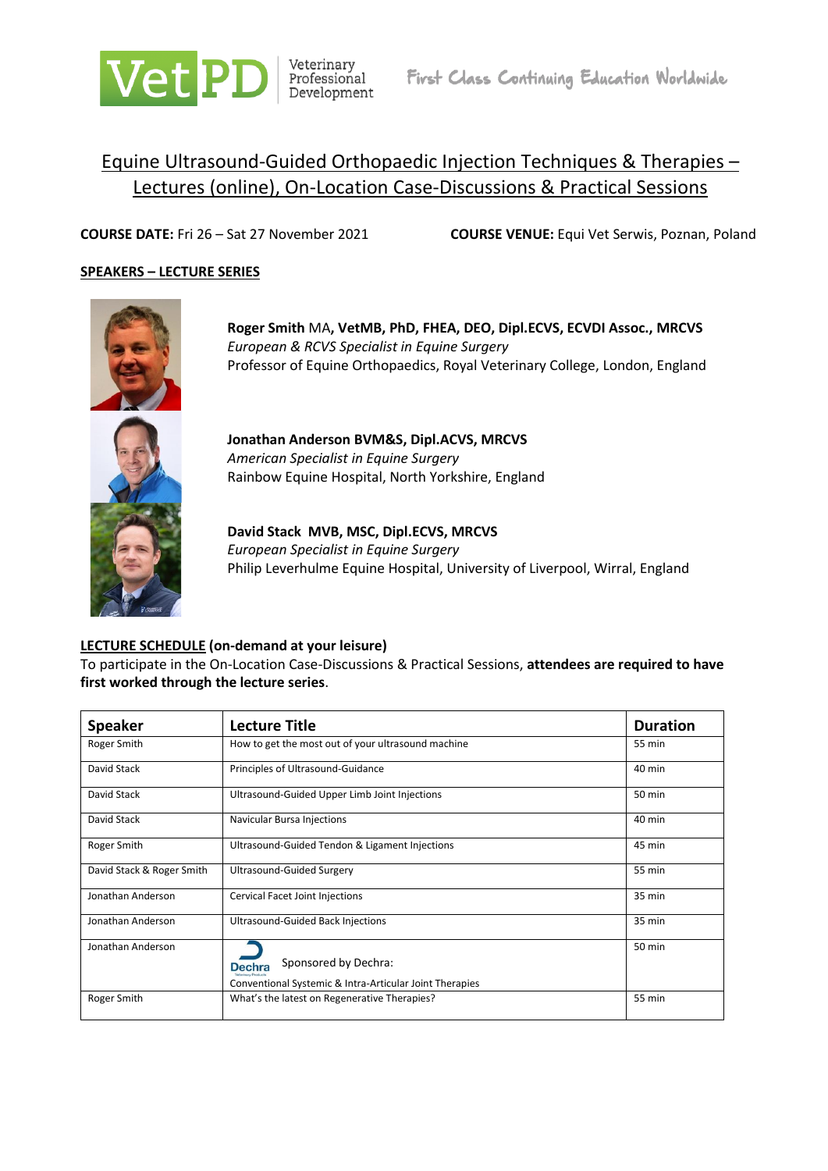

# Equine Ultrasound-Guided Orthopaedic Injection Techniques & Therapies – Lectures (online), On-Location Case-Discussions & Practical Sessions

**COURSE DATE:** Fri 26 – Sat 27 November 2021 **COURSE VENUE:** Equi Vet Serwis, Poznan, Poland

### **SPEAKERS – LECTURE SERIES**



**Roger Smith** MA**, VetMB, PhD, FHEA, DEO, Dipl.ECVS, ECVDI Assoc., MRCVS** *European & RCVS Specialist in Equine Surgery* Professor of Equine Orthopaedics, Royal Veterinary College, London, England



**Jonathan Anderson BVM&S, Dipl.ACVS, MRCVS** *American Specialist in Equine Surgery* Rainbow Equine Hospital, North Yorkshire, England

**David Stack MVB, MSC, Dipl.ECVS, MRCVS** *European Specialist in Equine Surgery* Philip Leverhulme Equine Hospital, University of Liverpool, Wirral, England

### **LECTURE SCHEDULE (on-demand at your leisure)**

To participate in the On-Location Case-Discussions & Practical Sessions, **attendees are required to have first worked through the lecture series**.

| <b>Speaker</b>            | <b>Lecture Title</b>                                                                             | <b>Duration</b> |
|---------------------------|--------------------------------------------------------------------------------------------------|-----------------|
| Roger Smith               | How to get the most out of your ultrasound machine                                               | 55 min          |
| David Stack               | Principles of Ultrasound-Guidance                                                                | 40 min          |
| David Stack               | Ultrasound-Guided Upper Limb Joint Injections                                                    | 50 min          |
| David Stack               | Navicular Bursa Injections                                                                       | 40 min          |
| Roger Smith               | Ultrasound-Guided Tendon & Ligament Injections                                                   | 45 min          |
| David Stack & Roger Smith | Ultrasound-Guided Surgery                                                                        | 55 min          |
| Jonathan Anderson         | Cervical Facet Joint Injections                                                                  | 35 min          |
| Jonathan Anderson         | Ultrasound-Guided Back Injections                                                                | 35 min          |
| Jonathan Anderson         | Sponsored by Dechra:<br><b>Dechra</b><br>Conventional Systemic & Intra-Articular Joint Therapies | 50 min          |
| Roger Smith               | What's the latest on Regenerative Therapies?                                                     | 55 min          |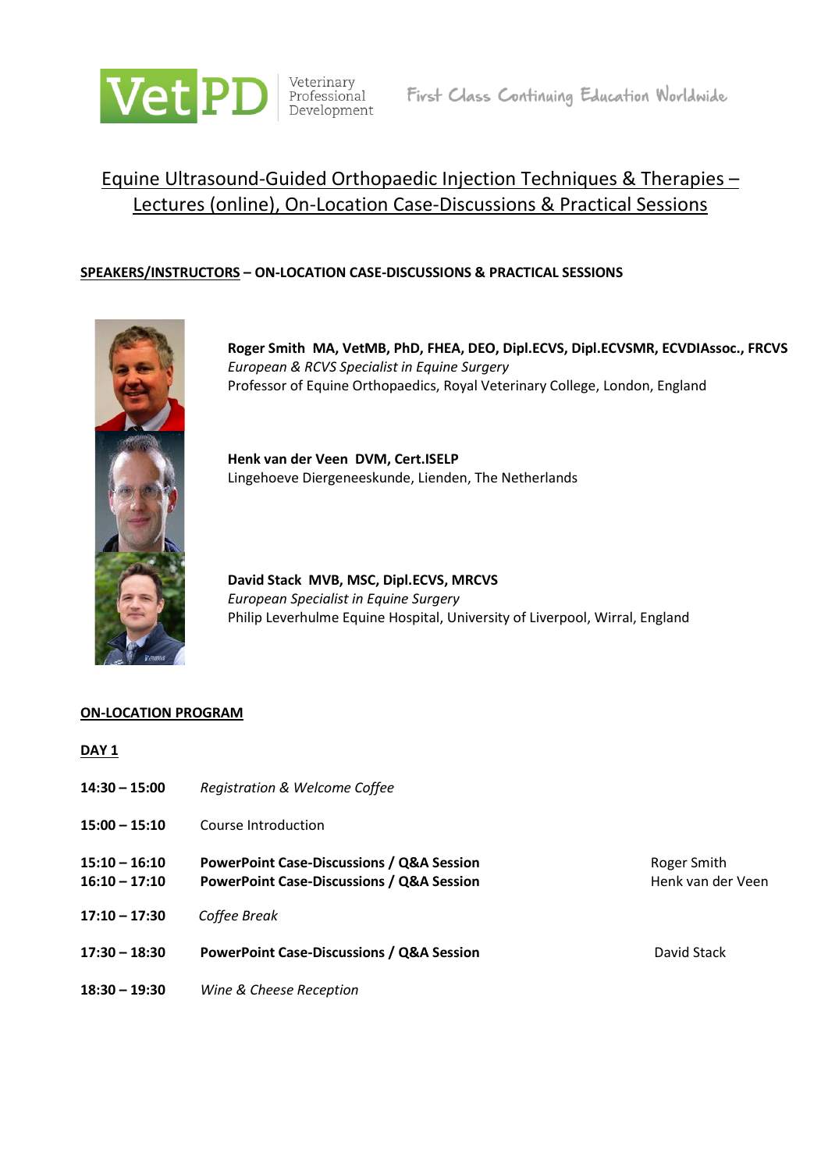

# Equine Ultrasound-Guided Orthopaedic Injection Techniques & Therapies – Lectures (online), On-Location Case-Discussions & Practical Sessions

## **SPEAKERS/INSTRUCTORS – ON-LOCATION CASE-DISCUSSIONS & PRACTICAL SESSIONS**



**Roger Smith MA, VetMB, PhD, FHEA, DEO, Dipl.ECVS, Dipl.ECVSMR, ECVDIAssoc., FRCVS** *European & RCVS Specialist in Equine Surgery* Professor of Equine Orthopaedics, Royal Veterinary College, London, England

**Henk van der Veen DVM, Cert.ISELP** Lingehoeve Diergeneeskunde, Lienden, The Netherlands

**David Stack MVB, MSC, Dipl.ECVS, MRCVS** *European Specialist in Equine Surgery* Philip Leverhulme Equine Hospital, University of Liverpool, Wirral, England

### **ON-LOCATION PROGRAM**

| DAY <sub>1</sub>                   |                                                                                                              |                                  |
|------------------------------------|--------------------------------------------------------------------------------------------------------------|----------------------------------|
| $14:30 - 15:00$                    | <b>Registration &amp; Welcome Coffee</b>                                                                     |                                  |
| $15:00 - 15:10$                    | Course Introduction                                                                                          |                                  |
| $15:10 - 16:10$<br>$16:10 - 17:10$ | <b>PowerPoint Case-Discussions / Q&amp;A Session</b><br><b>PowerPoint Case-Discussions / Q&amp;A Session</b> | Roger Smith<br>Henk van der Veen |
| $17:10 - 17:30$                    | Coffee Break                                                                                                 |                                  |
| $17:30 - 18:30$                    | <b>PowerPoint Case-Discussions / Q&amp;A Session</b>                                                         | David Stack                      |
| $18:30 - 19:30$                    | Wine & Cheese Reception                                                                                      |                                  |